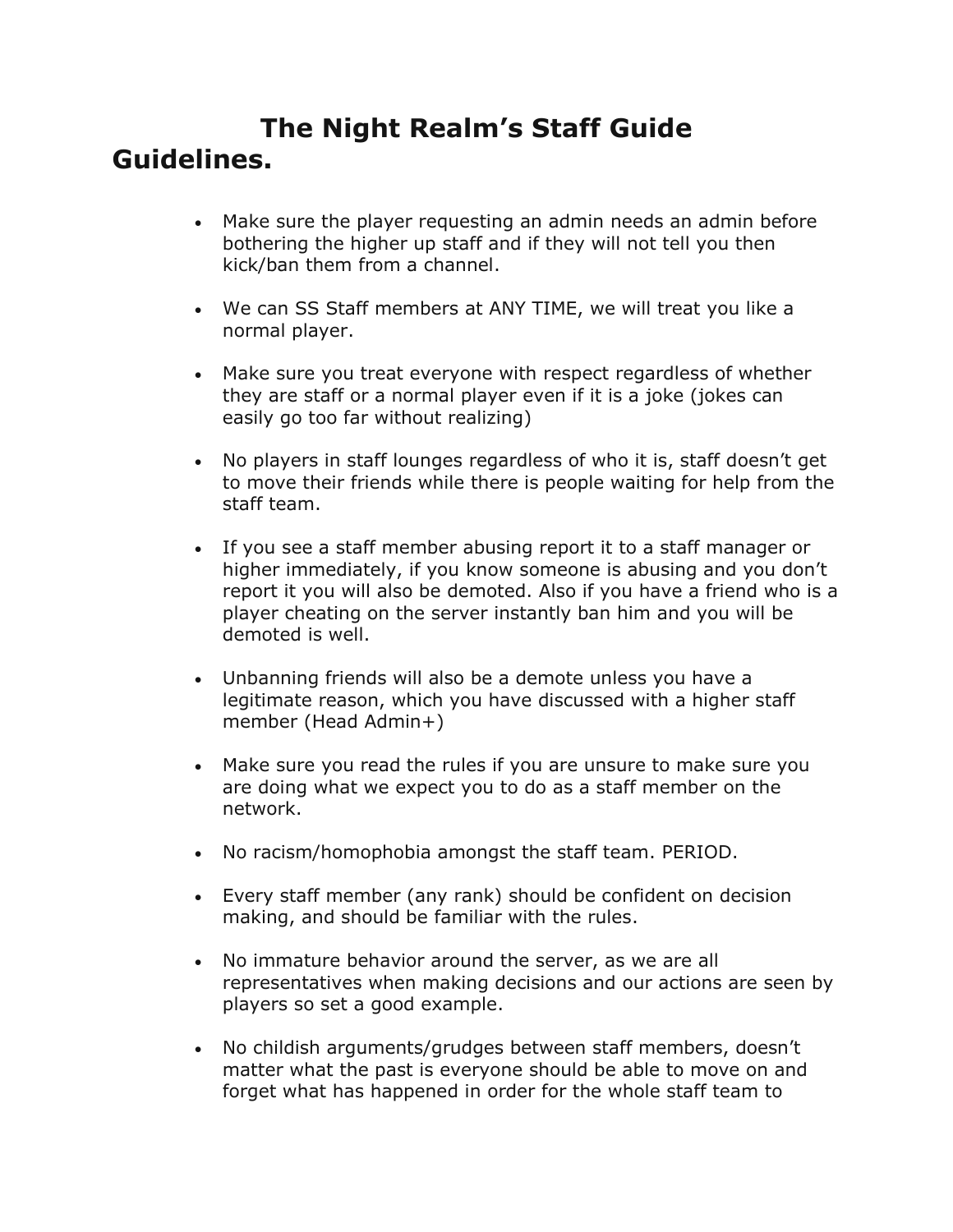# **The Night Realm's Staff Guide Guidelines.**

- Make sure the player requesting an admin needs an admin before bothering the higher up staff and if they will not tell you then kick/ban them from a channel.
- We can SS Staff members at ANY TIME, we will treat you like a normal player.
- Make sure you treat everyone with respect regardless of whether they are staff or a normal player even if it is a joke (jokes can easily go too far without realizing)
- No players in staff lounges regardless of who it is, staff doesn't get to move their friends while there is people waiting for help from the staff team.
- If you see a staff member abusing report it to a staff manager or higher immediately, if you know someone is abusing and you don't report it you will also be demoted. Also if you have a friend who is a player cheating on the server instantly ban him and you will be demoted is well.
- Unbanning friends will also be a demote unless you have a legitimate reason, which you have discussed with a higher staff member (Head Admin+)
- Make sure you read the rules if you are unsure to make sure you are doing what we expect you to do as a staff member on the network.
- No racism/homophobia amongst the staff team. PERIOD.
- Every staff member (any rank) should be confident on decision making, and should be familiar with the rules.
- No immature behavior around the server, as we are all representatives when making decisions and our actions are seen by players so set a good example.
- No childish arguments/grudges between staff members, doesn't matter what the past is everyone should be able to move on and forget what has happened in order for the whole staff team to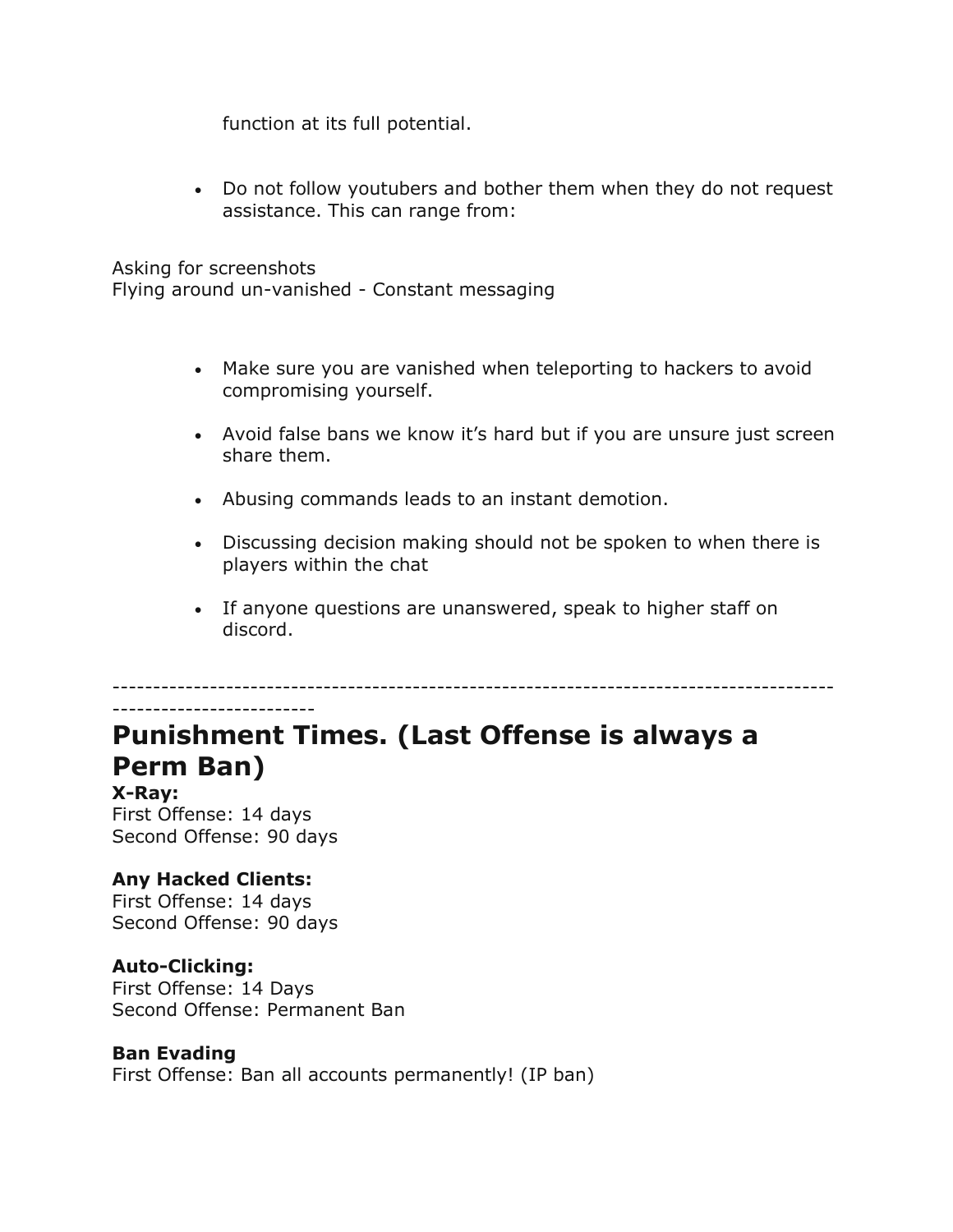function at its full potential.

• Do not follow youtubers and bother them when they do not request assistance. This can range from:

Asking for screenshots Flying around un-vanished - Constant messaging

- Make sure you are vanished when teleporting to hackers to avoid compromising yourself.
- Avoid false bans we know it's hard but if you are unsure just screen share them.
- Abusing commands leads to an instant demotion.
- Discussing decision making should not be spoken to when there is players within the chat
- If anyone questions are unanswered, speak to higher staff on discord.

-----------------------------------------------------------------------------------------

# **Punishment Times. (Last Offense is always a Perm Ban)**

**X-Ray:** First Offense: 14 days Second Offense: 90 days

-------------------------

## **Any Hacked Clients:**

First Offense: 14 days Second Offense: 90 days

## **Auto-Clicking:**

First Offense: 14 Days Second Offense: Permanent Ban

## **Ban Evading**

First Offense: Ban all accounts permanently! (IP ban)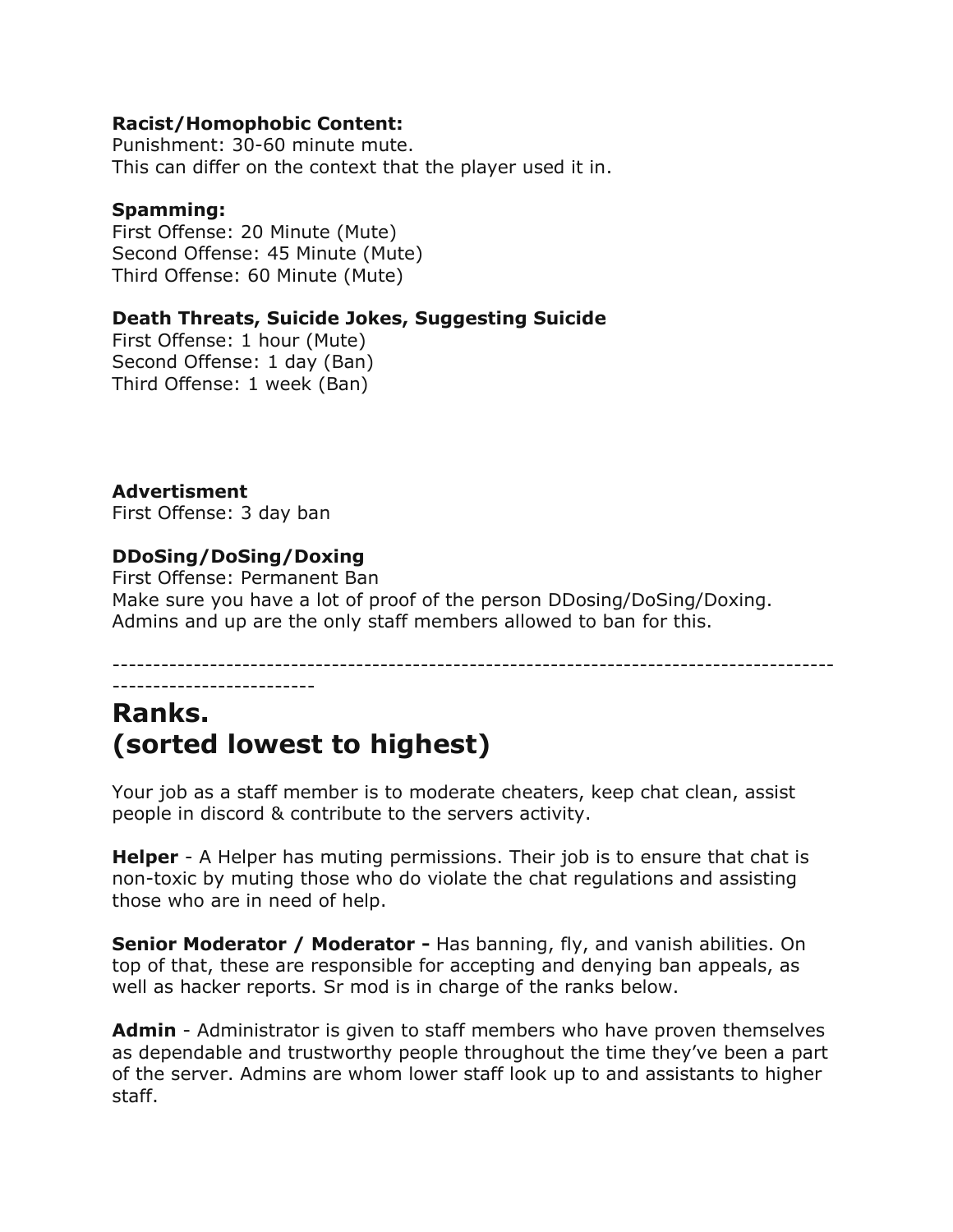#### **Racist/Homophobic Content:**

Punishment: 30-60 minute mute. This can differ on the context that the player used it in.

#### **Spamming:**

First Offense: 20 Minute (Mute) Second Offense: 45 Minute (Mute) Third Offense: 60 Minute (Mute)

## **Death Threats, Suicide Jokes, Suggesting Suicide**

First Offense: 1 hour (Mute) Second Offense: 1 day (Ban) Third Offense: 1 week (Ban)

## **Advertisment**

First Offense: 3 day ban

## **DDoSing/DoSing/Doxing**

First Offense: Permanent Ban Make sure you have a lot of proof of the person DDosing/DoSing/Doxing. Admins and up are the only staff members allowed to ban for this.

----------------------------------------------------------------------------------------- -------------------------

## **Ranks. (sorted lowest to highest)**

Your job as a staff member is to moderate cheaters, keep chat clean, assist people in discord & contribute to the servers activity.

**Helper** - A Helper has muting permissions. Their job is to ensure that chat is non-toxic by muting those who do violate the chat regulations and assisting those who are in need of help.

**Senior Moderator / Moderator -** Has banning, fly, and vanish abilities. On top of that, these are responsible for accepting and denying ban appeals, as well as hacker reports. Sr mod is in charge of the ranks below.

**Admin** - Administrator is given to staff members who have proven themselves as dependable and trustworthy people throughout the time they've been a part of the server. Admins are whom lower staff look up to and assistants to higher staff.